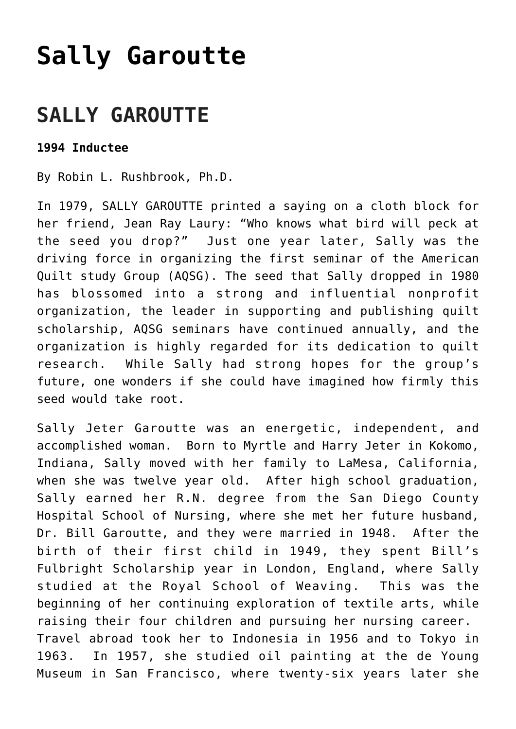## **[Sally Garoutte](https://quiltershalloffame.net/sally-garoutte/)**

## **SALLY GAROUTTE**

## **1994 Inductee**

By Robin L. Rushbrook, Ph.D.

In 1979, SALLY GAROUTTE printed a saying on a cloth block for her friend, Jean Ray Laury: "Who knows what bird will peck at the seed you drop?" Just one year later, Sally was the driving force in organizing the first seminar of the American Quilt study Group (AQSG). The seed that Sally dropped in 1980 has blossomed into a strong and influential nonprofit organization, the leader in supporting and publishing quilt scholarship, AQSG seminars have continued annually, and the organization is highly regarded for its dedication to quilt research. While Sally had strong hopes for the group's future, one wonders if she could have imagined how firmly this seed would take root.

Sally Jeter Garoutte was an energetic, independent, and accomplished woman. Born to Myrtle and Harry Jeter in Kokomo, Indiana, Sally moved with her family to LaMesa, California, when she was twelve year old. After high school graduation, Sally earned her R.N. degree from the San Diego County Hospital School of Nursing, where she met her future husband, Dr. Bill Garoutte, and they were married in 1948. After the birth of their first child in 1949, they spent Bill's Fulbright Scholarship year in London, England, where Sally studied at the Royal School of Weaving. This was the beginning of her continuing exploration of textile arts, while raising their four children and pursuing her nursing career. Travel abroad took her to Indonesia in 1956 and to Tokyo in 1963. In 1957, she studied oil painting at the de Young Museum in San Francisco, where twenty-six years later she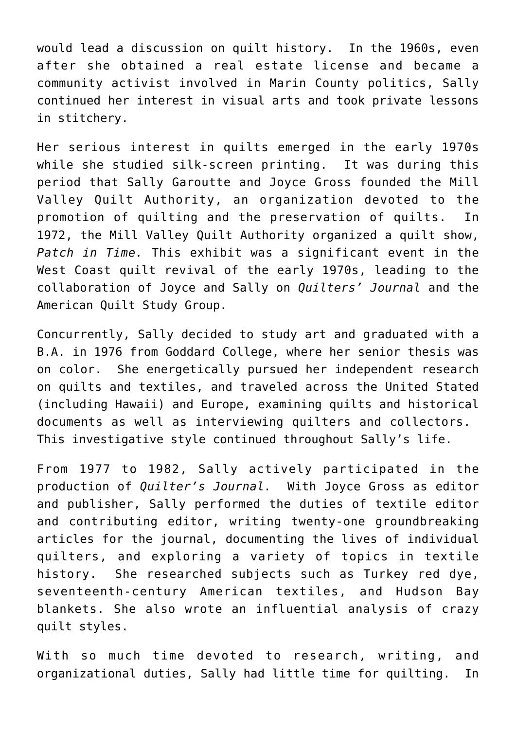would lead a discussion on quilt history. In the 1960s, even after she obtained a real estate license and became a community activist involved in Marin County politics, Sally continued her interest in visual arts and took private lessons in stitchery.

Her serious interest in quilts emerged in the early 1970s while she studied silk-screen printing. It was during this period that Sally Garoutte and Joyce Gross founded the Mill Valley Quilt Authority, an organization devoted to the promotion of quilting and the preservation of quilts. In 1972, the Mill Valley Quilt Authority organized a quilt show, *Patch in Time.* This exhibit was a significant event in the West Coast quilt revival of the early 1970s, leading to the collaboration of Joyce and Sally on *Quilters' Journal* and the American Quilt Study Group.

Concurrently, Sally decided to study art and graduated with a B.A. in 1976 from Goddard College, where her senior thesis was on color. She energetically pursued her independent research on quilts and textiles, and traveled across the United Stated (including Hawaii) and Europe, examining quilts and historical documents as well as interviewing quilters and collectors. This investigative style continued throughout Sally's life.

From 1977 to 1982, Sally actively participated in the production of *Quilter's Journal.* With Joyce Gross as editor and publisher, Sally performed the duties of textile editor and contributing editor, writing twenty-one groundbreaking articles for the journal, documenting the lives of individual quilters, and exploring a variety of topics in textile history. She researched subjects such as Turkey red dye, seventeenth-century American textiles, and Hudson Bay blankets. She also wrote an influential analysis of crazy quilt styles.

With so much time devoted to research, writing, and organizational duties, Sally had little time for quilting. In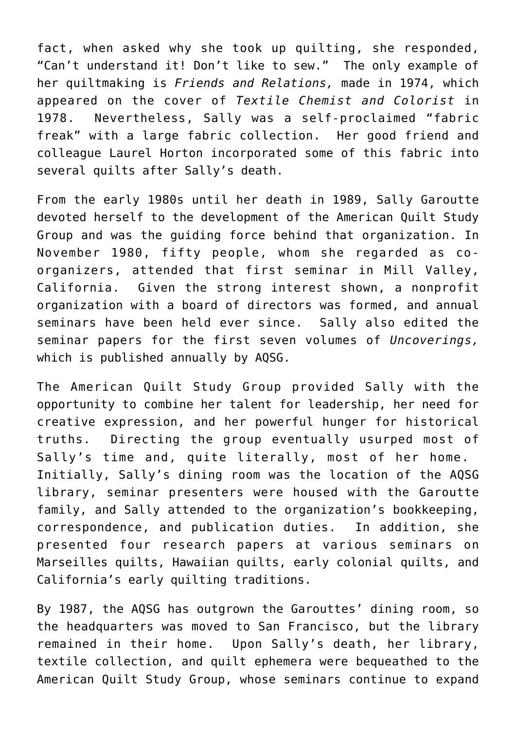fact, when asked why she took up quilting, she responded, "Can't understand it! Don't like to sew." The only example of her quiltmaking is *Friends and Relations,* made in 1974, which appeared on the cover of *Textile Chemist and Colorist* in 1978. Nevertheless, Sally was a self-proclaimed "fabric freak" with a large fabric collection. Her good friend and colleague Laurel Horton incorporated some of this fabric into several quilts after Sally's death.

From the early 1980s until her death in 1989, Sally Garoutte devoted herself to the development of the American Quilt Study Group and was the guiding force behind that organization. In November 1980, fifty people, whom she regarded as coorganizers, attended that first seminar in Mill Valley, California. Given the strong interest shown, a nonprofit organization with a board of directors was formed, and annual seminars have been held ever since. Sally also edited the seminar papers for the first seven volumes of *Uncoverings,* which is published annually by AQSG.

The American Quilt Study Group provided Sally with the opportunity to combine her talent for leadership, her need for creative expression, and her powerful hunger for historical truths. Directing the group eventually usurped most of Sally's time and, quite literally, most of her home. Initially, Sally's dining room was the location of the AQSG library, seminar presenters were housed with the Garoutte family, and Sally attended to the organization's bookkeeping, correspondence, and publication duties. In addition, she presented four research papers at various seminars on Marseilles quilts, Hawaiian quilts, early colonial quilts, and California's early quilting traditions.

By 1987, the AQSG has outgrown the Garouttes' dining room, so the headquarters was moved to San Francisco, but the library remained in their home. Upon Sally's death, her library, textile collection, and quilt ephemera were bequeathed to the American Quilt Study Group, whose seminars continue to expand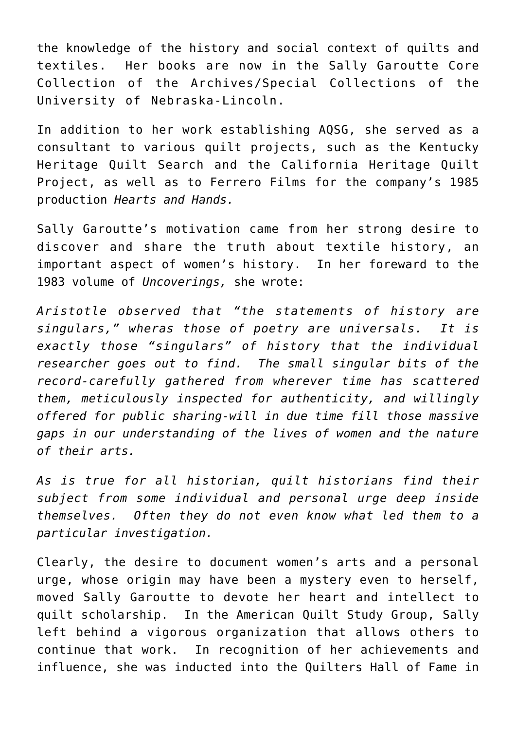the knowledge of the history and social context of quilts and textiles. Her books are now in the Sally Garoutte Core Collection of the Archives/Special Collections of the University of Nebraska-Lincoln.

In addition to her work establishing AQSG, she served as a consultant to various quilt projects, such as the Kentucky Heritage Quilt Search and the California Heritage Quilt Project, as well as to Ferrero Films for the company's 1985 production *Hearts and Hands.*

Sally Garoutte's motivation came from her strong desire to discover and share the truth about textile history, an important aspect of women's history. In her foreward to the 1983 volume of *Uncoverings,* she wrote:

*Aristotle observed that "the statements of history are singulars," wheras those of poetry are universals. It is exactly those "singulars" of history that the individual researcher goes out to find. The small singular bits of the record-carefully gathered from wherever time has scattered them, meticulously inspected for authenticity, and willingly offered for public sharing-will in due time fill those massive gaps in our understanding of the lives of women and the nature of their arts.*

*As is true for all historian, quilt historians find their subject from some individual and personal urge deep inside themselves. Often they do not even know what led them to a particular investigation.*

Clearly, the desire to document women's arts and a personal urge, whose origin may have been a mystery even to herself, moved Sally Garoutte to devote her heart and intellect to quilt scholarship. In the American Quilt Study Group, Sally left behind a vigorous organization that allows others to continue that work. In recognition of her achievements and influence, she was inducted into the Quilters Hall of Fame in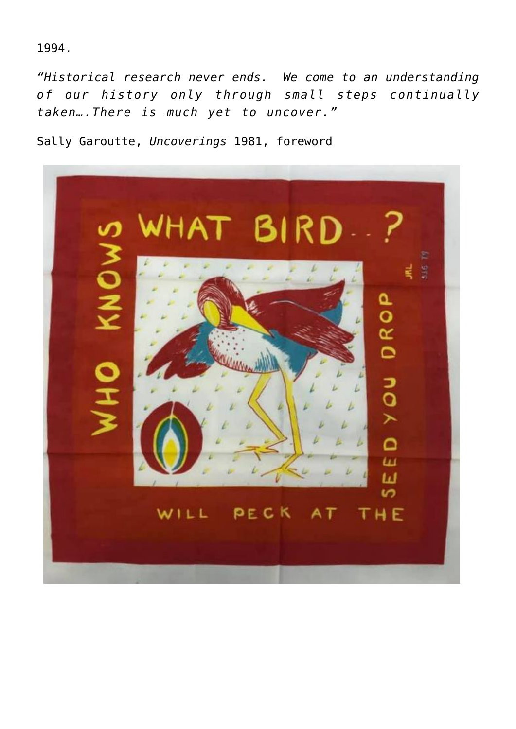1994.

*"Historical research never ends. We come to an understanding of our history only through small steps continually taken….There is much yet to uncover."*

Sally Garoutte, *Uncoverings* 1981, foreword

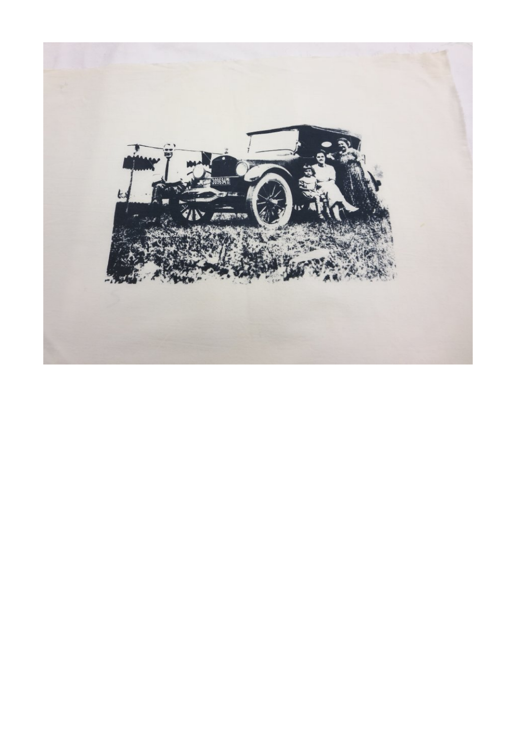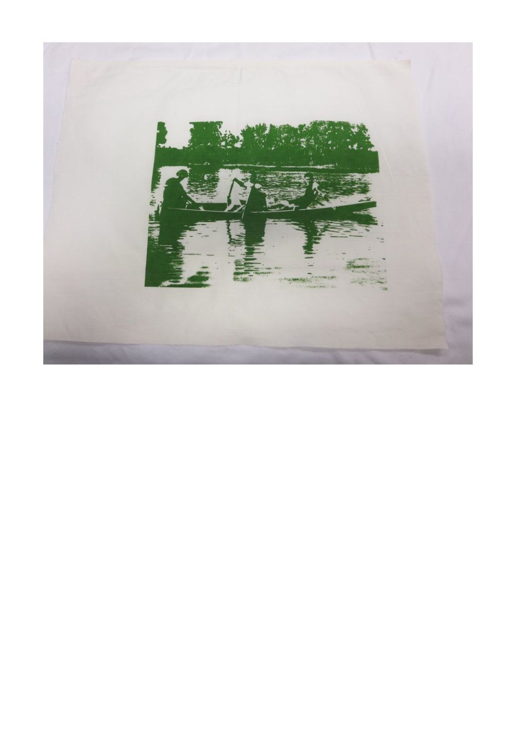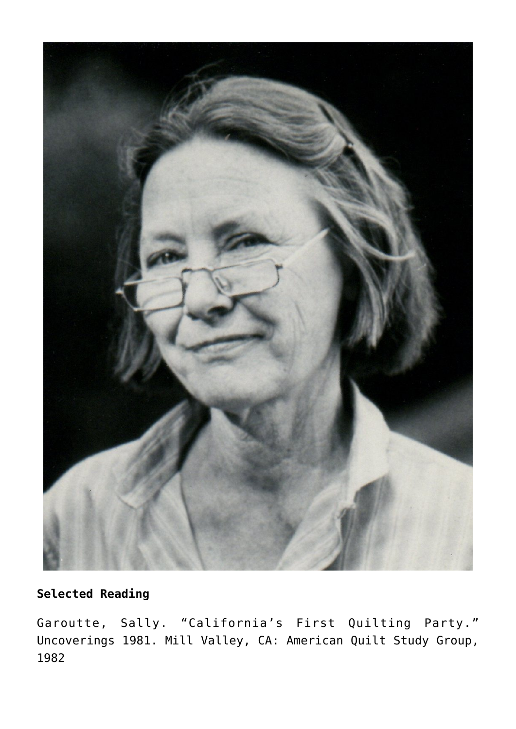

## **Selected Reading**

Garoutte, Sally. "California's First Quilting Party." Uncoverings 1981. Mill Valley, CA: American Quilt Study Group, 1982